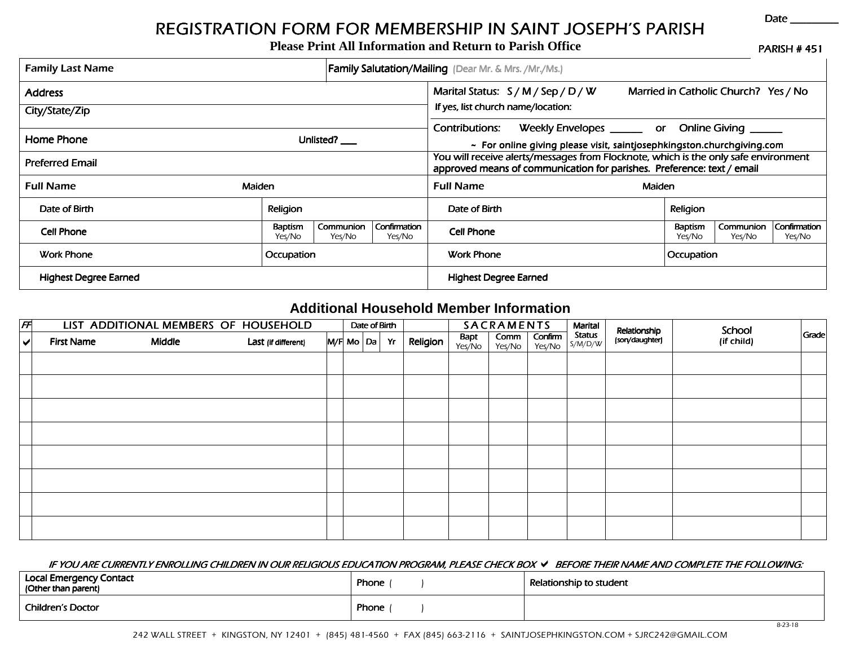## *REGISTRATION FORM FOR MEMBERSHIP IN SAINT FOR SAINTJOSEPH'S PARISH S PARISHS PARISH*

|                              |                                       |                                  | <b>REGISTRATION FORM FOR MEMBERSHIP IN SAINT JOSEPH'S PARISH</b><br><b>Please Print All Information and Return to Parish Office</b>                           |            |                   |                                      | Date                   |  |
|------------------------------|---------------------------------------|----------------------------------|---------------------------------------------------------------------------------------------------------------------------------------------------------------|------------|-------------------|--------------------------------------|------------------------|--|
| <b>Family Last Name</b>      |                                       |                                  | <b>Family Salutation/Mailing</b> (Dear Mr. & Mrs. /Mr./Ms.)                                                                                                   |            |                   |                                      | <b>PARISH #451</b>     |  |
| <b>Address</b>               |                                       |                                  | Marital Status: $S/M/Sep/D/W$                                                                                                                                 |            |                   | Married in Catholic Church? Yes / No |                        |  |
| City/State/Zip               |                                       |                                  | If yes, list church name/location:                                                                                                                            |            |                   |                                      |                        |  |
| Home Phone<br>Unlisted?      |                                       |                                  | Weekly Envelopes _______ or Online Giving _____<br>Contributions:<br>~ For online giving please visit, saintjosephkingston.churchgiving.com                   |            |                   |                                      |                        |  |
| <b>Preferred Email</b>       |                                       |                                  | You will receive alerts/messages from Flocknote, which is the only safe environment<br>approved means of communication for parishes. Preference: text / email |            |                   |                                      |                        |  |
| <b>Full Name</b>             | <b>Maiden</b>                         |                                  |                                                                                                                                                               | Maiden     |                   |                                      |                        |  |
| Date of Birth                | Religion                              |                                  | Date of Birth                                                                                                                                                 |            | Religion          |                                      |                        |  |
| <b>Cell Phone</b>            | Communion<br><b>Baptism</b><br>Yes/No | Confirmation<br>Yes/No<br>Yes/No | <b>Cell Phone</b>                                                                                                                                             |            | Baptism<br>Yes/No | Communion<br>Yes/No                  | Confirmation<br>Yes/No |  |
| <b>Work Phone</b>            | Occupation                            |                                  | <b>Work Phone</b>                                                                                                                                             | Occupation |                   |                                      |                        |  |
| <b>Highest Degree Earned</b> |                                       |                                  | <b>Highest Degree Earned</b>                                                                                                                                  |            |                   |                                      |                        |  |

## **Additional Household Member Information**

| $\sqrt{F}$           |                   | LIST ADDITIONAL MEMBERS OF HOUSEHOLD |                     |  | Date of Birth      |          |                | <b>SACRAMENTS</b> |                   | Marital           | Relationship   | School     | Grade |
|----------------------|-------------------|--------------------------------------|---------------------|--|--------------------|----------|----------------|-------------------|-------------------|-------------------|----------------|------------|-------|
| $\blacktriangledown$ | <b>First Name</b> | Middle                               | Last (if different) |  | $M/F$ Mo $ Da $ Yr | Religion | Bapt<br>Yes/No | Comm<br>Yes/No    | Confirm<br>Yes/No | Status<br>S/M/D/W | (son/daughter) | (if child) |       |
|                      |                   |                                      |                     |  |                    |          |                |                   |                   |                   |                |            |       |
|                      |                   |                                      |                     |  |                    |          |                |                   |                   |                   |                |            |       |
|                      |                   |                                      |                     |  |                    |          |                |                   |                   |                   |                |            |       |
|                      |                   |                                      |                     |  |                    |          |                |                   |                   |                   |                |            |       |
|                      |                   |                                      |                     |  |                    |          |                |                   |                   |                   |                |            |       |
|                      |                   |                                      |                     |  |                    |          |                |                   |                   |                   |                |            |       |
|                      |                   |                                      |                     |  |                    |          |                |                   |                   |                   |                |            |       |
|                      |                   |                                      |                     |  |                    |          |                |                   |                   |                   |                |            |       |

## *IF YOU ARE CURRENTLY ENROLLING CHILDREN IN OUR RELI YOU ARE ENROLLING IN RELIGIOUS EDUCATION EDUCATION PROGRAM, PLEASE CHECK BOX GIOUS PROGRAM, PLEASE BEFORE THEIR BEFORE NAME AND COMPLETE THE FOLLOWING: AND THE FOLLOWING:*

| Local Emergency Contact<br>  (Other than parent) | Phone | Relationship to student |
|--------------------------------------------------|-------|-------------------------|
| Children's Doctor                                | Phone |                         |